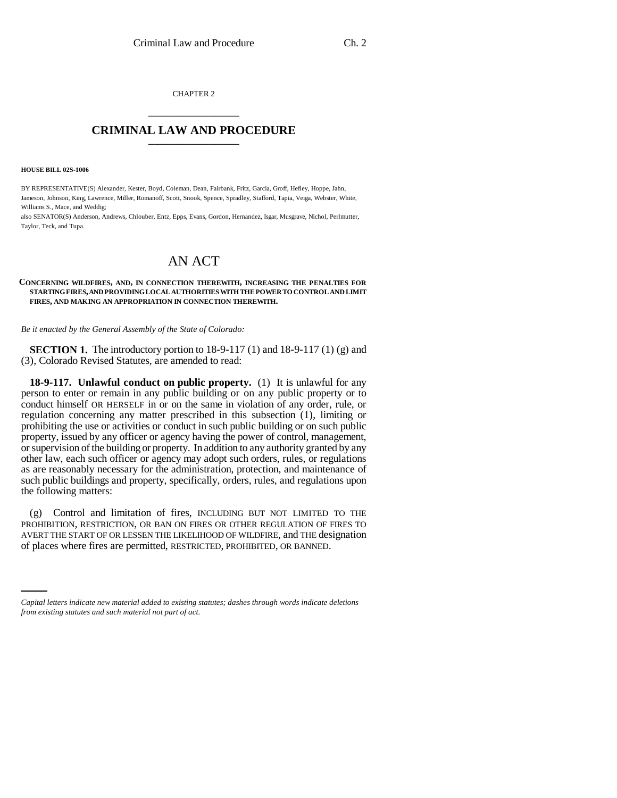CHAPTER 2 \_\_\_\_\_\_\_\_\_\_\_\_\_\_\_

## **CRIMINAL LAW AND PROCEDURE** \_\_\_\_\_\_\_\_\_\_\_\_\_\_\_

#### **HOUSE BILL 02S-1006**

BY REPRESENTATIVE(S) Alexander, Kester, Boyd, Coleman, Dean, Fairbank, Fritz, Garcia, Groff, Hefley, Hoppe, Jahn, Jameson, Johnson, King, Lawrence, Miller, Romanoff, Scott, Snook, Spence, Spradley, Stafford, Tapia, Veiga, Webster, White, Williams S., Mace, and Weddig;

also SENATOR(S) Anderson, Andrews, Chlouber, Entz, Epps, Evans, Gordon, Hernandez, Isgar, Musgrave, Nichol, Perlmutter, Taylor, Teck, and Tupa.

# AN ACT

### **CONCERNING WILDFIRES, AND, IN CONNECTION THEREWITH, INCREASING THE PENALTIES FOR STARTING FIRES, AND PROVIDING LOCAL AUTHORITIES WITH THE POWER TO CONTROL AND LIMIT FIRES, AND MAKING AN APPROPRIATION IN CONNECTION THEREWITH.**

### *Be it enacted by the General Assembly of the State of Colorado:*

**SECTION 1.** The introductory portion to 18-9-117 (1) and 18-9-117 (1) (g) and (3), Colorado Revised Statutes, are amended to read:

**18-9-117. Unlawful conduct on public property.** (1) It is unlawful for any person to enter or remain in any public building or on any public property or to conduct himself OR HERSELF in or on the same in violation of any order, rule, or regulation concerning any matter prescribed in this subsection (1), limiting or prohibiting the use or activities or conduct in such public building or on such public property, issued by any officer or agency having the power of control, management, or supervision of the building or property. In addition to any authority granted by any other law, each such officer or agency may adopt such orders, rules, or regulations as are reasonably necessary for the administration, protection, and maintenance of such public buildings and property, specifically, orders, rules, and regulations upon the following matters:

AVERT THE START OF OR LESSEN THE LIKELIHOOD OF WILDFIRE, and THE designation (g) Control and limitation of fires, INCLUDING BUT NOT LIMITED TO THE PROHIBITION, RESTRICTION, OR BAN ON FIRES OR OTHER REGULATION OF FIRES TO of places where fires are permitted, RESTRICTED, PROHIBITED, OR BANNED.

*Capital letters indicate new material added to existing statutes; dashes through words indicate deletions from existing statutes and such material not part of act.*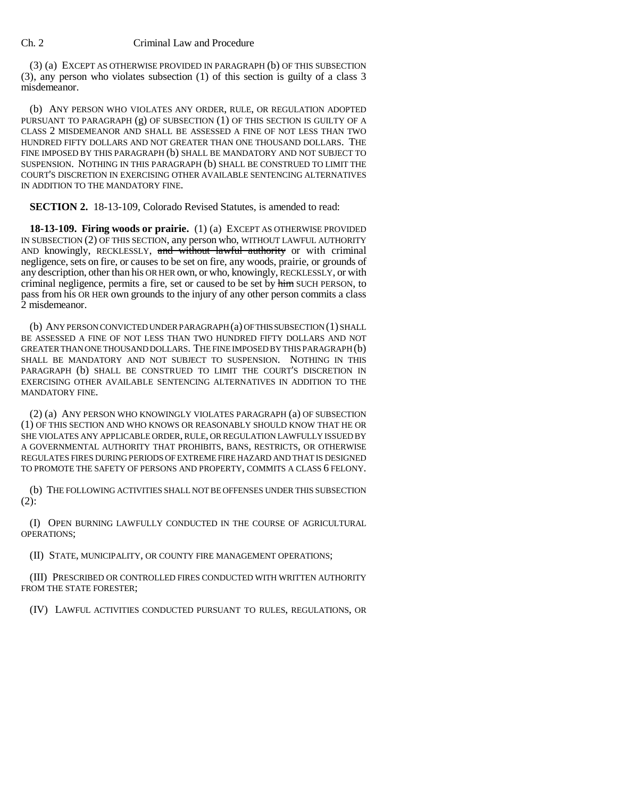(3) (a) EXCEPT AS OTHERWISE PROVIDED IN PARAGRAPH (b) OF THIS SUBSECTION (3), any person who violates subsection (1) of this section is guilty of a class 3 misdemeanor.

(b) ANY PERSON WHO VIOLATES ANY ORDER, RULE, OR REGULATION ADOPTED PURSUANT TO PARAGRAPH (g) OF SUBSECTION (1) OF THIS SECTION IS GUILTY OF A CLASS 2 MISDEMEANOR AND SHALL BE ASSESSED A FINE OF NOT LESS THAN TWO HUNDRED FIFTY DOLLARS AND NOT GREATER THAN ONE THOUSAND DOLLARS. THE FINE IMPOSED BY THIS PARAGRAPH (b) SHALL BE MANDATORY AND NOT SUBJECT TO SUSPENSION. NOTHING IN THIS PARAGRAPH (b) SHALL BE CONSTRUED TO LIMIT THE COURT'S DISCRETION IN EXERCISING OTHER AVAILABLE SENTENCING ALTERNATIVES IN ADDITION TO THE MANDATORY FINE.

**SECTION 2.** 18-13-109, Colorado Revised Statutes, is amended to read:

**18-13-109. Firing woods or prairie.** (1) (a) EXCEPT AS OTHERWISE PROVIDED IN SUBSECTION (2) OF THIS SECTION, any person who, WITHOUT LAWFUL AUTHORITY AND knowingly, RECKLESSLY, and without lawful authority or with criminal negligence, sets on fire, or causes to be set on fire, any woods, prairie, or grounds of any description, other than his OR HER own, or who, knowingly, RECKLESSLY, or with criminal negligence, permits a fire, set or caused to be set by him SUCH PERSON, to pass from his OR HER own grounds to the injury of any other person commits a class 2 misdemeanor.

(b) ANY PERSON CONVICTED UNDER PARAGRAPH (a) OF THIS SUBSECTION (1) SHALL BE ASSESSED A FINE OF NOT LESS THAN TWO HUNDRED FIFTY DOLLARS AND NOT GREATER THAN ONE THOUSAND DOLLARS. THE FINE IMPOSED BY THIS PARAGRAPH (b) SHALL BE MANDATORY AND NOT SUBJECT TO SUSPENSION. NOTHING IN THIS PARAGRAPH (b) SHALL BE CONSTRUED TO LIMIT THE COURT'S DISCRETION IN EXERCISING OTHER AVAILABLE SENTENCING ALTERNATIVES IN ADDITION TO THE MANDATORY FINE.

(2) (a) ANY PERSON WHO KNOWINGLY VIOLATES PARAGRAPH (a) OF SUBSECTION (1) OF THIS SECTION AND WHO KNOWS OR REASONABLY SHOULD KNOW THAT HE OR SHE VIOLATES ANY APPLICABLE ORDER, RULE, OR REGULATION LAWFULLY ISSUED BY A GOVERNMENTAL AUTHORITY THAT PROHIBITS, BANS, RESTRICTS, OR OTHERWISE REGULATES FIRES DURING PERIODS OF EXTREME FIRE HAZARD AND THAT IS DESIGNED TO PROMOTE THE SAFETY OF PERSONS AND PROPERTY, COMMITS A CLASS 6 FELONY.

(b) THE FOLLOWING ACTIVITIES SHALL NOT BE OFFENSES UNDER THIS SUBSECTION  $(2)$ :

(I) OPEN BURNING LAWFULLY CONDUCTED IN THE COURSE OF AGRICULTURAL OPERATIONS;

(II) STATE, MUNICIPALITY, OR COUNTY FIRE MANAGEMENT OPERATIONS;

(III) PRESCRIBED OR CONTROLLED FIRES CONDUCTED WITH WRITTEN AUTHORITY FROM THE STATE FORESTER;

(IV) LAWFUL ACTIVITIES CONDUCTED PURSUANT TO RULES, REGULATIONS, OR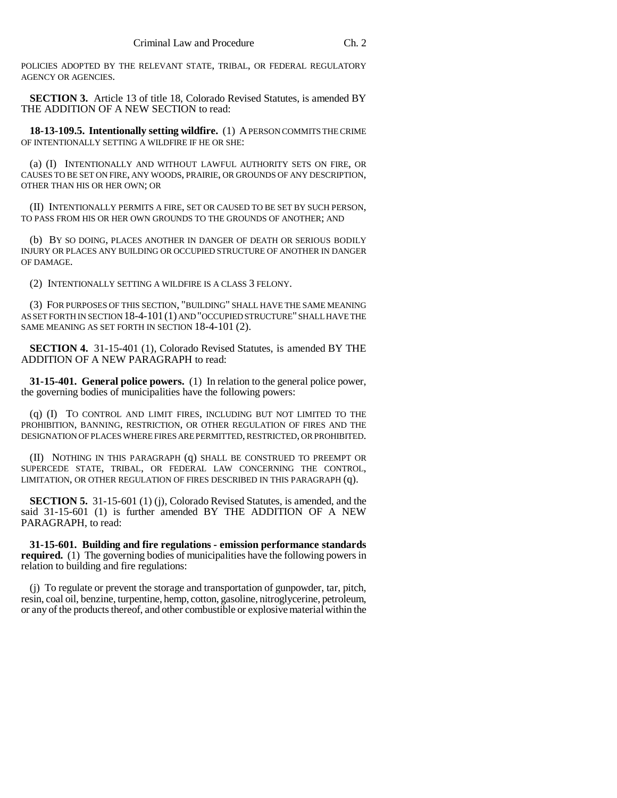POLICIES ADOPTED BY THE RELEVANT STATE, TRIBAL, OR FEDERAL REGULATORY AGENCY OR AGENCIES.

**SECTION 3.** Article 13 of title 18, Colorado Revised Statutes, is amended BY THE ADDITION OF A NEW SECTION to read:

**18-13-109.5. Intentionally setting wildfire.** (1) A PERSON COMMITS THE CRIME OF INTENTIONALLY SETTING A WILDFIRE IF HE OR SHE:

(a) (I) INTENTIONALLY AND WITHOUT LAWFUL AUTHORITY SETS ON FIRE, OR CAUSES TO BE SET ON FIRE, ANY WOODS, PRAIRIE, OR GROUNDS OF ANY DESCRIPTION, OTHER THAN HIS OR HER OWN; OR

(II) INTENTIONALLY PERMITS A FIRE, SET OR CAUSED TO BE SET BY SUCH PERSON, TO PASS FROM HIS OR HER OWN GROUNDS TO THE GROUNDS OF ANOTHER; AND

(b) BY SO DOING, PLACES ANOTHER IN DANGER OF DEATH OR SERIOUS BODILY INJURY OR PLACES ANY BUILDING OR OCCUPIED STRUCTURE OF ANOTHER IN DANGER OF DAMAGE.

(2) INTENTIONALLY SETTING A WILDFIRE IS A CLASS 3 FELONY.

(3) FOR PURPOSES OF THIS SECTION, "BUILDING" SHALL HAVE THE SAME MEANING AS SET FORTH IN SECTION 18-4-101(1) AND "OCCUPIED STRUCTURE" SHALL HAVE THE SAME MEANING AS SET FORTH IN SECTION 18-4-101 (2).

**SECTION 4.** 31-15-401 (1), Colorado Revised Statutes, is amended BY THE ADDITION OF A NEW PARAGRAPH to read:

**31-15-401. General police powers.** (1) In relation to the general police power, the governing bodies of municipalities have the following powers:

(q) (I) TO CONTROL AND LIMIT FIRES, INCLUDING BUT NOT LIMITED TO THE PROHIBITION, BANNING, RESTRICTION, OR OTHER REGULATION OF FIRES AND THE DESIGNATION OF PLACES WHERE FIRES ARE PERMITTED, RESTRICTED, OR PROHIBITED.

(II) NOTHING IN THIS PARAGRAPH (q) SHALL BE CONSTRUED TO PREEMPT OR SUPERCEDE STATE, TRIBAL, OR FEDERAL LAW CONCERNING THE CONTROL, LIMITATION, OR OTHER REGULATION OF FIRES DESCRIBED IN THIS PARAGRAPH (q).

**SECTION 5.** 31-15-601 (1) (j), Colorado Revised Statutes, is amended, and the said 31-15-601 (1) is further amended BY THE ADDITION OF A NEW PARAGRAPH, to read:

**31-15-601. Building and fire regulations - emission performance standards required.** (1) The governing bodies of municipalities have the following powers in relation to building and fire regulations:

(j) To regulate or prevent the storage and transportation of gunpowder, tar, pitch, resin, coal oil, benzine, turpentine, hemp, cotton, gasoline, nitroglycerine, petroleum, or any of the products thereof, and other combustible or explosive material within the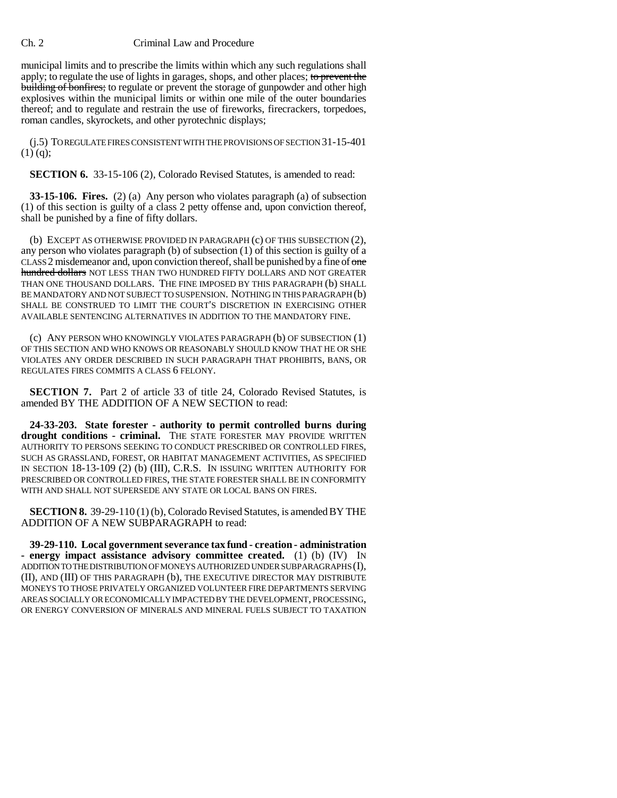Ch. 2 Criminal Law and Procedure

municipal limits and to prescribe the limits within which any such regulations shall apply; to regulate the use of lights in garages, shops, and other places; to prevent the building of bonfires; to regulate or prevent the storage of gunpowder and other high explosives within the municipal limits or within one mile of the outer boundaries thereof; and to regulate and restrain the use of fireworks, firecrackers, torpedoes, roman candles, skyrockets, and other pyrotechnic displays;

(j.5) TO REGULATE FIRES CONSISTENT WITH THE PROVISIONS OF SECTION 31-15-401  $(1)$  (q);

**SECTION 6.** 33-15-106 (2), Colorado Revised Statutes, is amended to read:

**33-15-106. Fires.** (2) (a) Any person who violates paragraph (a) of subsection (1) of this section is guilty of a class 2 petty offense and, upon conviction thereof, shall be punished by a fine of fifty dollars.

(b) EXCEPT AS OTHERWISE PROVIDED IN PARAGRAPH (c) OF THIS SUBSECTION (2), any person who violates paragraph (b) of subsection (1) of this section is guilty of a CLASS 2 misdemeanor and, upon conviction thereof, shall be punished by a fine of one hundred dollars NOT LESS THAN TWO HUNDRED FIFTY DOLLARS AND NOT GREATER THAN ONE THOUSAND DOLLARS. THE FINE IMPOSED BY THIS PARAGRAPH (b) SHALL BE MANDATORY AND NOT SUBJECT TO SUSPENSION. NOTHING IN THIS PARAGRAPH (b) SHALL BE CONSTRUED TO LIMIT THE COURT'S DISCRETION IN EXERCISING OTHER AVAILABLE SENTENCING ALTERNATIVES IN ADDITION TO THE MANDATORY FINE.

(c) ANY PERSON WHO KNOWINGLY VIOLATES PARAGRAPH (b) OF SUBSECTION (1) OF THIS SECTION AND WHO KNOWS OR REASONABLY SHOULD KNOW THAT HE OR SHE VIOLATES ANY ORDER DESCRIBED IN SUCH PARAGRAPH THAT PROHIBITS, BANS, OR REGULATES FIRES COMMITS A CLASS 6 FELONY.

**SECTION 7.** Part 2 of article 33 of title 24, Colorado Revised Statutes, is amended BY THE ADDITION OF A NEW SECTION to read:

**24-33-203. State forester - authority to permit controlled burns during** drought conditions - criminal. THE STATE FORESTER MAY PROVIDE WRITTEN AUTHORITY TO PERSONS SEEKING TO CONDUCT PRESCRIBED OR CONTROLLED FIRES, SUCH AS GRASSLAND, FOREST, OR HABITAT MANAGEMENT ACTIVITIES, AS SPECIFIED IN SECTION 18-13-109 (2) (b) (III), C.R.S. IN ISSUING WRITTEN AUTHORITY FOR PRESCRIBED OR CONTROLLED FIRES, THE STATE FORESTER SHALL BE IN CONFORMITY WITH AND SHALL NOT SUPERSEDE ANY STATE OR LOCAL BANS ON FIRES.

**SECTION 8.** 39-29-110 (1) (b), Colorado Revised Statutes, is amended BY THE ADDITION OF A NEW SUBPARAGRAPH to read:

**39-29-110. Local government severance tax fund - creation - administration - energy impact assistance advisory committee created.** (1) (b) (IV) IN ADDITION TO THE DISTRIBUTION OF MONEYS AUTHORIZED UNDER SUBPARAGRAPHS (I), (II), AND (III) OF THIS PARAGRAPH (b), THE EXECUTIVE DIRECTOR MAY DISTRIBUTE MONEYS TO THOSE PRIVATELY ORGANIZED VOLUNTEER FIRE DEPARTMENTS SERVING AREAS SOCIALLY OR ECONOMICALLY IMPACTED BY THE DEVELOPMENT, PROCESSING, OR ENERGY CONVERSION OF MINERALS AND MINERAL FUELS SUBJECT TO TAXATION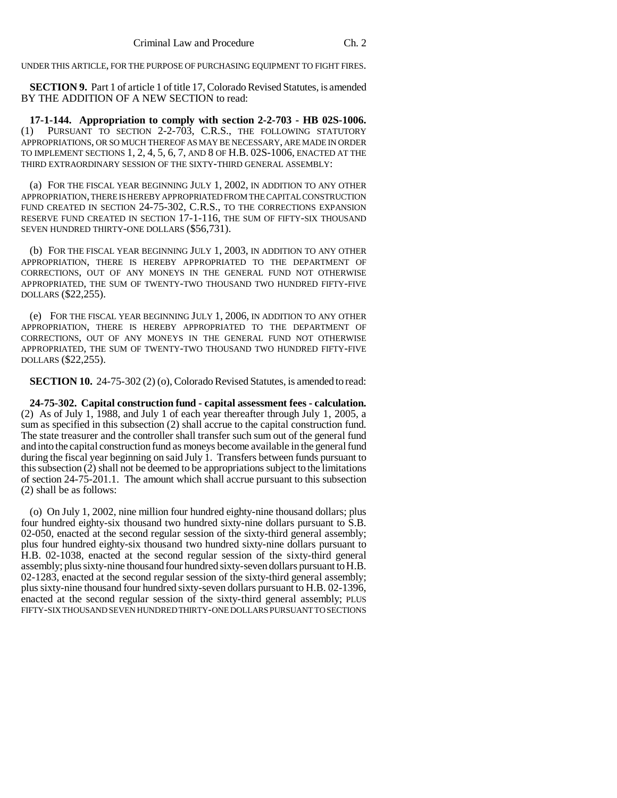UNDER THIS ARTICLE, FOR THE PURPOSE OF PURCHASING EQUIPMENT TO FIGHT FIRES.

**SECTION 9.** Part 1 of article 1 of title 17, Colorado Revised Statutes, is amended BY THE ADDITION OF A NEW SECTION to read:

**17-1-144. Appropriation to comply with section 2-2-703 - HB 02S-1006.** (1) PURSUANT TO SECTION 2-2-703, C.R.S., THE FOLLOWING STATUTORY APPROPRIATIONS, OR SO MUCH THEREOF AS MAY BE NECESSARY, ARE MADE IN ORDER TO IMPLEMENT SECTIONS 1, 2, 4, 5, 6, 7, AND 8 OF H.B. 02S-1006, ENACTED AT THE THIRD EXTRAORDINARY SESSION OF THE SIXTY-THIRD GENERAL ASSEMBLY:

(a) FOR THE FISCAL YEAR BEGINNING JULY 1, 2002, IN ADDITION TO ANY OTHER APPROPRIATION, THERE IS HEREBY APPROPRIATED FROM THE CAPITAL CONSTRUCTION FUND CREATED IN SECTION 24-75-302, C.R.S., TO THE CORRECTIONS EXPANSION RESERVE FUND CREATED IN SECTION 17-1-116, THE SUM OF FIFTY-SIX THOUSAND SEVEN HUNDRED THIRTY-ONE DOLLARS (\$56,731).

(b) FOR THE FISCAL YEAR BEGINNING JULY 1, 2003, IN ADDITION TO ANY OTHER APPROPRIATION, THERE IS HEREBY APPROPRIATED TO THE DEPARTMENT OF CORRECTIONS, OUT OF ANY MONEYS IN THE GENERAL FUND NOT OTHERWISE APPROPRIATED, THE SUM OF TWENTY-TWO THOUSAND TWO HUNDRED FIFTY-FIVE DOLLARS (\$22,255).

(e) FOR THE FISCAL YEAR BEGINNING JULY 1, 2006, IN ADDITION TO ANY OTHER APPROPRIATION, THERE IS HEREBY APPROPRIATED TO THE DEPARTMENT OF CORRECTIONS, OUT OF ANY MONEYS IN THE GENERAL FUND NOT OTHERWISE APPROPRIATED, THE SUM OF TWENTY-TWO THOUSAND TWO HUNDRED FIFTY-FIVE DOLLARS (\$22,255).

**SECTION 10.** 24-75-302 (2) (o), Colorado Revised Statutes, is amended to read:

**24-75-302. Capital construction fund - capital assessment fees - calculation.** (2) As of July 1, 1988, and July 1 of each year thereafter through July 1, 2005, a sum as specified in this subsection (2) shall accrue to the capital construction fund. The state treasurer and the controller shall transfer such sum out of the general fund and into the capital construction fund as moneys become available in the general fund during the fiscal year beginning on said July 1. Transfers between funds pursuant to this subsection (2) shall not be deemed to be appropriations subject to the limitations of section 24-75-201.1. The amount which shall accrue pursuant to this subsection (2) shall be as follows:

(o) On July 1, 2002, nine million four hundred eighty-nine thousand dollars; plus four hundred eighty-six thousand two hundred sixty-nine dollars pursuant to S.B. 02-050, enacted at the second regular session of the sixty-third general assembly; plus four hundred eighty-six thousand two hundred sixty-nine dollars pursuant to H.B. 02-1038, enacted at the second regular session of the sixty-third general assembly; plus sixty-nine thousand four hundred sixty-seven dollars pursuant to H.B. 02-1283, enacted at the second regular session of the sixty-third general assembly; plus sixty-nine thousand four hundred sixty-seven dollars pursuant to H.B. 02-1396, enacted at the second regular session of the sixty-third general assembly; PLUS FIFTY-SIX THOUSAND SEVEN HUNDRED THIRTY-ONE DOLLARS PURSUANT TO SECTIONS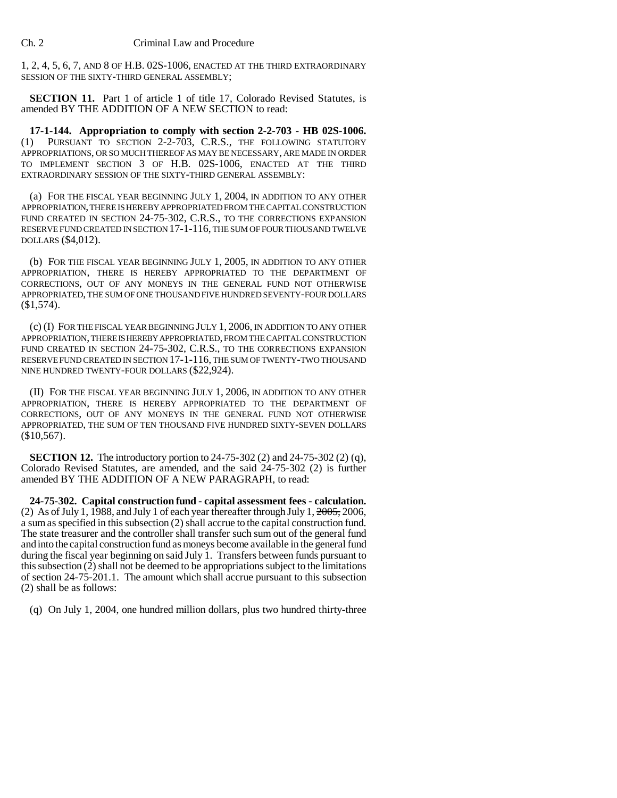1, 2, 4, 5, 6, 7, AND 8 OF H.B. 02S-1006, ENACTED AT THE THIRD EXTRAORDINARY SESSION OF THE SIXTY-THIRD GENERAL ASSEMBLY;

**SECTION 11.** Part 1 of article 1 of title 17, Colorado Revised Statutes, is amended BY THE ADDITION OF A NEW SECTION to read:

**17-1-144. Appropriation to comply with section 2-2-703 - HB 02S-1006.** (1) PURSUANT TO SECTION 2-2-703, C.R.S., THE FOLLOWING STATUTORY APPROPRIATIONS, OR SO MUCH THEREOF AS MAY BE NECESSARY, ARE MADE IN ORDER TO IMPLEMENT SECTION 3 OF H.B. 02S-1006, ENACTED AT THE THIRD EXTRAORDINARY SESSION OF THE SIXTY-THIRD GENERAL ASSEMBLY:

(a) FOR THE FISCAL YEAR BEGINNING JULY 1, 2004, IN ADDITION TO ANY OTHER APPROPRIATION, THERE IS HEREBY APPROPRIATED FROM THE CAPITAL CONSTRUCTION FUND CREATED IN SECTION 24-75-302, C.R.S., TO THE CORRECTIONS EXPANSION RESERVE FUND CREATED IN SECTION 17-1-116, THE SUM OF FOUR THOUSAND TWELVE DOLLARS (\$4,012).

(b) FOR THE FISCAL YEAR BEGINNING JULY 1, 2005, IN ADDITION TO ANY OTHER APPROPRIATION, THERE IS HEREBY APPROPRIATED TO THE DEPARTMENT OF CORRECTIONS, OUT OF ANY MONEYS IN THE GENERAL FUND NOT OTHERWISE APPROPRIATED, THE SUM OF ONE THOUSAND FIVE HUNDRED SEVENTY-FOUR DOLLARS (\$1,574).

(c) (I) FOR THE FISCAL YEAR BEGINNING JULY 1, 2006, IN ADDITION TO ANY OTHER APPROPRIATION, THERE IS HEREBY APPROPRIATED, FROM THE CAPITAL CONSTRUCTION FUND CREATED IN SECTION 24-75-302, C.R.S., TO THE CORRECTIONS EXPANSION RESERVE FUND CREATED IN SECTION 17-1-116, THE SUM OF TWENTY-TWO THOUSAND NINE HUNDRED TWENTY-FOUR DOLLARS (\$22,924).

(II) FOR THE FISCAL YEAR BEGINNING JULY 1, 2006, IN ADDITION TO ANY OTHER APPROPRIATION, THERE IS HEREBY APPROPRIATED TO THE DEPARTMENT OF CORRECTIONS, OUT OF ANY MONEYS IN THE GENERAL FUND NOT OTHERWISE APPROPRIATED, THE SUM OF TEN THOUSAND FIVE HUNDRED SIXTY-SEVEN DOLLARS  $$10,567$ ).

**SECTION 12.** The introductory portion to 24-75-302 (2) and 24-75-302 (2) (q), Colorado Revised Statutes, are amended, and the said 24-75-302 (2) is further amended BY THE ADDITION OF A NEW PARAGRAPH, to read:

**24-75-302. Capital construction fund - capital assessment fees - calculation.** (2) As of July 1, 1988, and July 1 of each year thereafter through July 1,  $2005$ , 2006, a sum as specified in this subsection (2) shall accrue to the capital construction fund. The state treasurer and the controller shall transfer such sum out of the general fund and into the capital construction fund as moneys become available in the general fund during the fiscal year beginning on said July 1. Transfers between funds pursuant to this subsection (2) shall not be deemed to be appropriations subject to the limitations of section 24-75-201.1. The amount which shall accrue pursuant to this subsection (2) shall be as follows:

(q) On July 1, 2004, one hundred million dollars, plus two hundred thirty-three